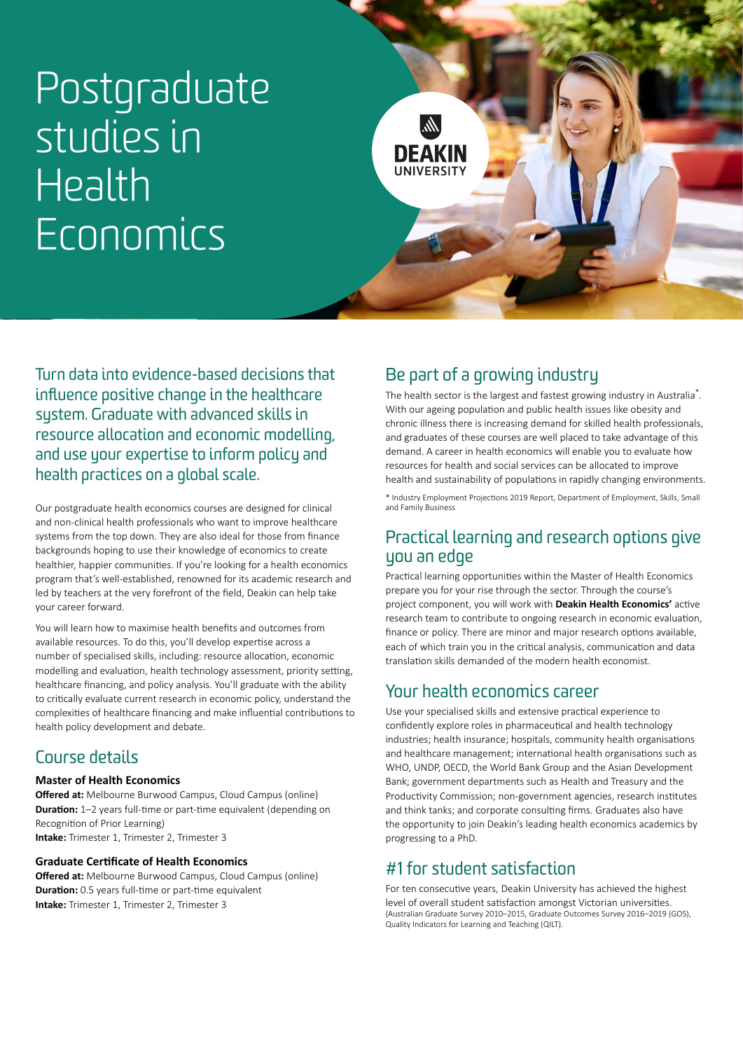# Postgraduate studies in Health **Economics**



Turn data into evidence-based decisions that influence positive change in the healthcare system. Graduate with advanced skills in resource allocation and economic modelling, and use your expertise to inform policy and health practices on a global scale.

Our postgraduate health economics courses are designed for clinical and non-clinical health professionals who want to improve healthcare systems from the top down. They are also ideal for those from finance backgrounds hoping to use their knowledge of economics to create healthier, happier communities. If you're looking for a health economics program that's well-established, renowned for its academic research and led by teachers at the very forefront of the field, Deakin can help take your career forward.

You will learn how to maximise health benefits and outcomes from available resources. To do this, you'll develop expertise across a number of specialised skills, including: resource allocation, economic modelling and evaluation, health technology assessment, priority setting, healthcare financing, and policy analysis. You'll graduate with the ability to critically evaluate current research in economic policy, understand the complexities of healthcare financing and make influential contributions to health policy development and debate.

#### Course details

#### **Master of Health Economics**

**Offered at:** Melbourne Burwood Campus, Cloud Campus (online) **Duration:** 1–2 years full-time or part-time equivalent (depending on Recognition of Prior Learning) **Intake:** Trimester 1, Trimester 2, Trimester 3

#### **Graduate Certificate of Health Economics**

**Offered at:** Melbourne Burwood Campus, Cloud Campus (online) **Duration:** 0.5 years full-time or part-time equivalent **Intake:** Trimester 1, Trimester 2, Trimester 3

### Be part of a growing industry

The health sector is the largest and fastest growing industry in Australia\*. With our ageing population and public health issues like obesity and chronic illness there is increasing demand for skilled health professionals, and graduates of these courses are well placed to take advantage of this demand. A career in health economics will enable you to evaluate how resources for health and social services can be allocated to improve health and sustainability of populations in rapidly changing environments.

\* Industry Employment Projections 2019 Report, Department of Employment, Skills, Small and Family Business

#### Practical learning and research options give you an edge

Practical learning opportunities within the Master of Health Economics prepare you for your rise through the sector. Through the course's project component, you will work with **[Deakin Health Economics'](https://iht.deakin.edu.au/deakin-health-economics/)** active research team to contribute to ongoing research in economic evaluation, finance or policy. There are minor and major research options available, each of which train you in the critical analysis, communication and data translation skills demanded of the modern health economist.

#### Your health economics career

Use your specialised skills and extensive practical experience to confidently explore roles in pharmaceutical and health technology industries; health insurance; hospitals, community health organisations and healthcare management; international health organisations such as WHO, UNDP, OECD, the World Bank Group and the Asian Development Bank; government departments such as Health and Treasury and the Productivity Commission; non-government agencies, research institutes and think tanks; and corporate consulting firms. Graduates also have the opportunity to join Deakin's leading health economics academics by progressing to a PhD.

### #1 for student satisfaction

For ten consecutive years, Deakin University has achieved the highest level of overall student satisfaction amongst Victorian universities. (Australian Graduate Survey 2010–2015, Graduate Outcomes Survey 2016–2019 (GOS), Quality Indicators for Learning and Teaching (QILT).